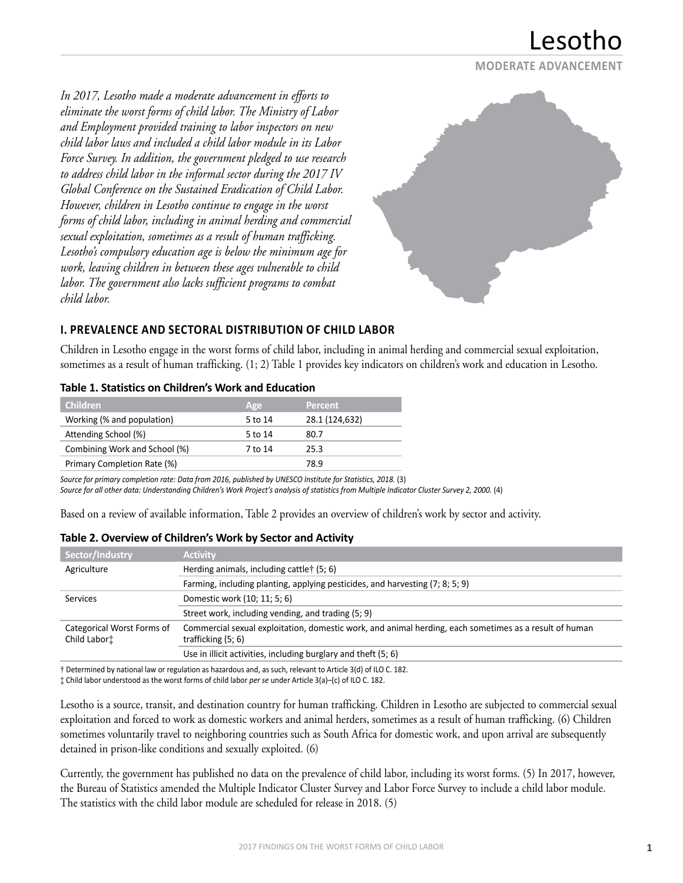

*In 2017, Lesotho made a moderate advancement in efforts to eliminate the worst forms of child labor. The Ministry of Labor and Employment provided training to labor inspectors on new child labor laws and included a child labor module in its Labor Force Survey. In addition, the government pledged to use research to address child labor in the informal sector during the 2017 IV Global Conference on the Sustained Eradication of Child Labor. However, children in Lesotho continue to engage in the worst forms of child labor, including in animal herding and commercial sexual exploitation, sometimes as a result of human trafficking. Lesotho's compulsory education age is below the minimum age for work, leaving children in between these ages vulnerable to child labor. The government also lacks sufficient programs to combat child labor.*



## **I. PREVALENCE AND SECTORAL DISTRIBUTION OF CHILD LABOR**

Children in Lesotho engage in the worst forms of child labor, including in animal herding and commercial sexual exploitation, sometimes as a result of human trafficking. (1; 2) Table 1 provides key indicators on children's work and education in Lesotho.

| וטשוכ ב, טנטנואנוכא טון כווווטרכורא ווער בשטכטנוטור |         |                |  |
|-----------------------------------------------------|---------|----------------|--|
| <b>Children</b>                                     | Age     | <b>Percent</b> |  |
| Working (% and population)                          | 5 to 14 | 28.1 (124,632) |  |
| Attending School (%)                                | 5 to 14 | 80.7           |  |
| Combining Work and School (%)                       | 7 to 14 | 25.3           |  |
| Primary Completion Rate (%)                         |         | 78.9           |  |

## **Table 1. Statistics on Children's Work and Education**

*Source for primary completion rate: Data from 2016, published by UNESCO Institute for Statistics, 2018.* (3) *Source for all other data: Understanding Children's Work Project's analysis of statistics from Multiple Indicator Cluster Survey 2, 2000.* (4)

Based on a review of available information, Table 2 provides an overview of children's work by sector and activity.

| Sector/Industry                            | <b>Activity</b>                                                                                                                |
|--------------------------------------------|--------------------------------------------------------------------------------------------------------------------------------|
| Agriculture                                | Herding animals, including cattle† (5; 6)                                                                                      |
|                                            | Farming, including planting, applying pesticides, and harvesting (7; 8; 5; 9)                                                  |
| Services                                   | Domestic work (10; 11; 5; 6)                                                                                                   |
|                                            | Street work, including vending, and trading (5; 9)                                                                             |
| Categorical Worst Forms of<br>Child Labort | Commercial sexual exploitation, domestic work, and animal herding, each sometimes as a result of human<br>trafficking $(5; 6)$ |
|                                            | Use in illicit activities, including burglary and theft (5; 6)                                                                 |

#### **Table 2. Overview of Children's Work by Sector and Activity**

† Determined by national law or regulation as hazardous and, as such, relevant to Article 3(d) of ILO C. 182. ‡ Child labor understood as the worst forms of child labor *per se* under Article 3(a)–(c) of ILO C. 182.

Lesotho is a source, transit, and destination country for human trafficking. Children in Lesotho are subjected to commercial sexual exploitation and forced to work as domestic workers and animal herders, sometimes as a result of human trafficking. (6) Children

sometimes voluntarily travel to neighboring countries such as South Africa for domestic work, and upon arrival are subsequently detained in prison-like conditions and sexually exploited. (6)

Currently, the government has published no data on the prevalence of child labor, including its worst forms. (5) In 2017, however, the Bureau of Statistics amended the Multiple Indicator Cluster Survey and Labor Force Survey to include a child labor module. The statistics with the child labor module are scheduled for release in 2018. (5)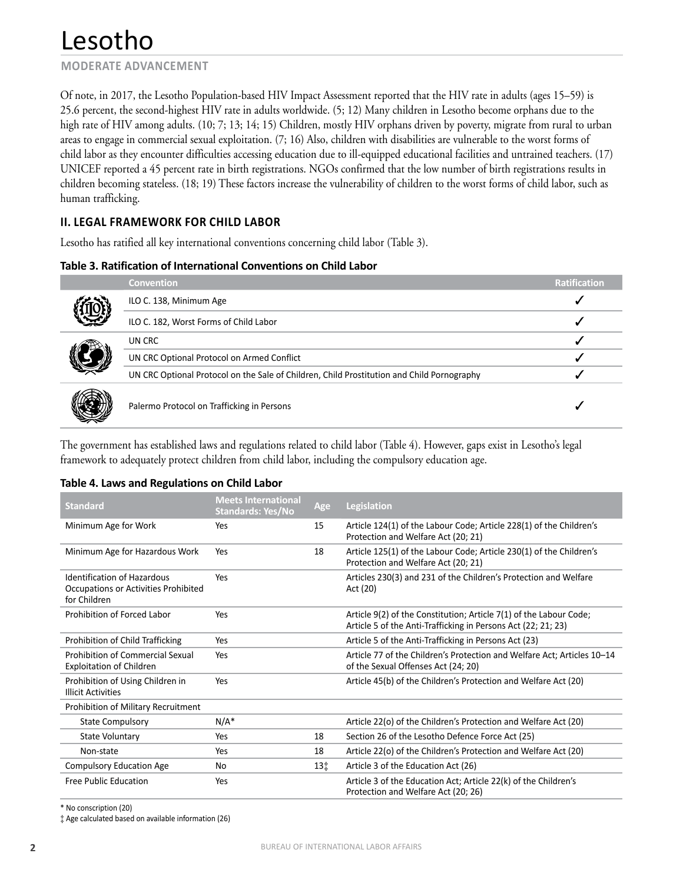**MODERATE ADVANCEMENT**

Of note, in 2017, the Lesotho Population-based HIV Impact Assessment reported that the HIV rate in adults (ages 15–59) is 25.6 percent, the second-highest HIV rate in adults worldwide. (5; 12) Many children in Lesotho become orphans due to the high rate of HIV among adults. (10; 7; 13; 14; 15) Children, mostly HIV orphans driven by poverty, migrate from rural to urban areas to engage in commercial sexual exploitation. (7; 16) Also, children with disabilities are vulnerable to the worst forms of child labor as they encounter difficulties accessing education due to ill-equipped educational facilities and untrained teachers. (17) UNICEF reported a 45 percent rate in birth registrations. NGOs confirmed that the low number of birth registrations results in children becoming stateless. (18; 19) These factors increase the vulnerability of children to the worst forms of child labor, such as human trafficking.

## **II. LEGAL FRAMEWORK FOR CHILD LABOR**

Lesotho has ratified all key international conventions concerning child labor (Table 3).

#### **Table 3. Ratification of International Conventions on Child Labor**

| ÝЗ<br>IIO<br>J<br>L<br>Ű |
|--------------------------|
|--------------------------|

|    | <b>Convention</b>                                                                          | <b>Ratification</b> |
|----|--------------------------------------------------------------------------------------------|---------------------|
| 瀷  | ILO C. 138, Minimum Age                                                                    |                     |
|    | ILO C. 182, Worst Forms of Child Labor                                                     |                     |
|    | UN CRC                                                                                     |                     |
| )) | UN CRC Optional Protocol on Armed Conflict                                                 |                     |
|    | UN CRC Optional Protocol on the Sale of Children, Child Prostitution and Child Pornography |                     |
| ₩  | Palermo Protocol on Trafficking in Persons                                                 |                     |

The government has established laws and regulations related to child labor (Table 4). However, gaps exist in Lesotho's legal framework to adequately protect children from child labor, including the compulsory education age.

#### **Table 4. Laws and Regulations on Child Labor**

| <b>Standard</b>                                                                            | <b>Meets International</b><br><b>Standards: Yes/No</b> | Age | <b>Legislation</b>                                                                                                                  |
|--------------------------------------------------------------------------------------------|--------------------------------------------------------|-----|-------------------------------------------------------------------------------------------------------------------------------------|
| Minimum Age for Work                                                                       | Yes                                                    | 15  | Article 124(1) of the Labour Code; Article 228(1) of the Children's<br>Protection and Welfare Act (20; 21)                          |
| Minimum Age for Hazardous Work                                                             | Yes                                                    | 18  | Article 125(1) of the Labour Code; Article 230(1) of the Children's<br>Protection and Welfare Act (20; 21)                          |
| <b>Identification of Hazardous</b><br>Occupations or Activities Prohibited<br>for Children | Yes                                                    |     | Articles 230(3) and 231 of the Children's Protection and Welfare<br>Act (20)                                                        |
| Prohibition of Forced Labor                                                                | Yes                                                    |     | Article 9(2) of the Constitution; Article 7(1) of the Labour Code;<br>Article 5 of the Anti-Trafficking in Persons Act (22; 21; 23) |
| Prohibition of Child Trafficking                                                           | Yes                                                    |     | Article 5 of the Anti-Trafficking in Persons Act (23)                                                                               |
| <b>Prohibition of Commercial Sexual</b><br><b>Exploitation of Children</b>                 | Yes                                                    |     | Article 77 of the Children's Protection and Welfare Act; Articles 10-14<br>of the Sexual Offenses Act (24; 20)                      |
| Prohibition of Using Children in<br><b>Illicit Activities</b>                              | Yes                                                    |     | Article 45(b) of the Children's Protection and Welfare Act (20)                                                                     |
| Prohibition of Military Recruitment                                                        |                                                        |     |                                                                                                                                     |
| <b>State Compulsory</b>                                                                    | $N/A^*$                                                |     | Article 22(o) of the Children's Protection and Welfare Act (20)                                                                     |
| State Voluntary                                                                            | Yes                                                    | 18  | Section 26 of the Lesotho Defence Force Act (25)                                                                                    |
| Non-state                                                                                  | Yes                                                    | 18  | Article 22(o) of the Children's Protection and Welfare Act (20)                                                                     |
| <b>Compulsory Education Age</b>                                                            | No                                                     | 13‡ | Article 3 of the Education Act (26)                                                                                                 |
| Free Public Education                                                                      | Yes                                                    |     | Article 3 of the Education Act; Article 22(k) of the Children's<br>Protection and Welfare Act (20; 26)                              |

\* No conscription (20)

‡ Age calculated based on available information (26)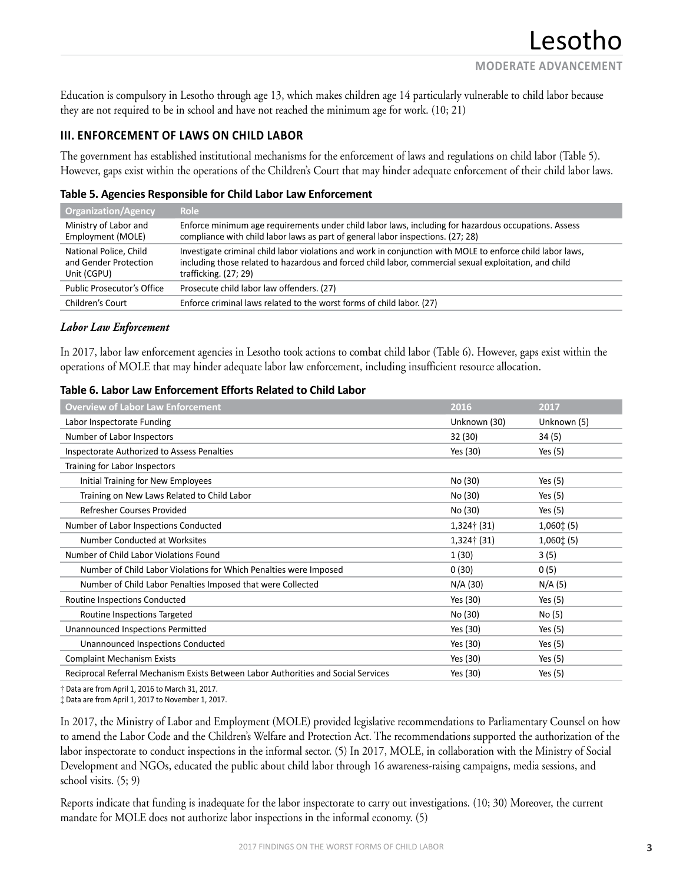Education is compulsory in Lesotho through age 13, which makes children age 14 particularly vulnerable to child labor because they are not required to be in school and have not reached the minimum age for work. (10; 21)

## **III. ENFORCEMENT OF LAWS ON CHILD LABOR**

The government has established institutional mechanisms for the enforcement of laws and regulations on child labor (Table 5). However, gaps exist within the operations of the Children's Court that may hinder adequate enforcement of their child labor laws.

## **Table 5. Agencies Responsible for Child Labor Law Enforcement**

| <b>Organization/Agency</b>                                     | <b>Role</b>                                                                                                                                                                                                                                     |
|----------------------------------------------------------------|-------------------------------------------------------------------------------------------------------------------------------------------------------------------------------------------------------------------------------------------------|
| Ministry of Labor and<br>Employment (MOLE)                     | Enforce minimum age requirements under child labor laws, including for hazardous occupations. Assess<br>compliance with child labor laws as part of general labor inspections. (27; 28)                                                         |
| National Police, Child<br>and Gender Protection<br>Unit (CGPU) | Investigate criminal child labor violations and work in conjunction with MOLE to enforce child labor laws,<br>including those related to hazardous and forced child labor, commercial sexual exploitation, and child<br>trafficking. $(27; 29)$ |
| <b>Public Prosecutor's Office</b>                              | Prosecute child labor law offenders. (27)                                                                                                                                                                                                       |
| Children's Court                                               | Enforce criminal laws related to the worst forms of child labor. (27)                                                                                                                                                                           |

### *Labor Law Enforcement*

In 2017, labor law enforcement agencies in Lesotho took actions to combat child labor (Table 6). However, gaps exist within the operations of MOLE that may hinder adequate labor law enforcement, including insufficient resource allocation.

### **Table 6. Labor Law Enforcement Efforts Related to Child Labor**

| <b>Overview of Labor Law Enforcement</b>                                           | 2016         | 2017          |
|------------------------------------------------------------------------------------|--------------|---------------|
| Labor Inspectorate Funding                                                         | Unknown (30) | Unknown (5)   |
| Number of Labor Inspectors                                                         | 32 (30)      | 34 (5)        |
| Inspectorate Authorized to Assess Penalties                                        | Yes (30)     | Yes $(5)$     |
| Training for Labor Inspectors                                                      |              |               |
| Initial Training for New Employees                                                 | No (30)      | Yes $(5)$     |
| Training on New Laws Related to Child Labor                                        | No (30)      | Yes $(5)$     |
| Refresher Courses Provided                                                         | No (30)      | Yes $(5)$     |
| Number of Labor Inspections Conducted                                              | 1,324† (31)  | $1,060$ $(5)$ |
| Number Conducted at Worksites                                                      | 1,324† (31)  | $1,060$ $(5)$ |
| Number of Child Labor Violations Found                                             | 1(30)        | 3(5)          |
| Number of Child Labor Violations for Which Penalties were Imposed                  | 0(30)        | 0(5)          |
| Number of Child Labor Penalties Imposed that were Collected                        | N/A (30)     | N/A(5)        |
| Routine Inspections Conducted                                                      | Yes (30)     | Yes $(5)$     |
| Routine Inspections Targeted                                                       | No (30)      | No (5)        |
| <b>Unannounced Inspections Permitted</b>                                           | Yes (30)     | Yes $(5)$     |
| <b>Unannounced Inspections Conducted</b>                                           | Yes (30)     | Yes $(5)$     |
| <b>Complaint Mechanism Exists</b>                                                  | Yes (30)     | Yes $(5)$     |
| Reciprocal Referral Mechanism Exists Between Labor Authorities and Social Services | Yes (30)     | Yes $(5)$     |

† Data are from April 1, 2016 to March 31, 2017.

‡ Data are from April 1, 2017 to November 1, 2017.

In 2017, the Ministry of Labor and Employment (MOLE) provided legislative recommendations to Parliamentary Counsel on how to amend the Labor Code and the Children's Welfare and Protection Act. The recommendations supported the authorization of the labor inspectorate to conduct inspections in the informal sector. (5) In 2017, MOLE, in collaboration with the Ministry of Social Development and NGOs, educated the public about child labor through 16 awareness-raising campaigns, media sessions, and school visits. (5; 9)

Reports indicate that funding is inadequate for the labor inspectorate to carry out investigations. (10; 30) Moreover, the current mandate for MOLE does not authorize labor inspections in the informal economy. (5)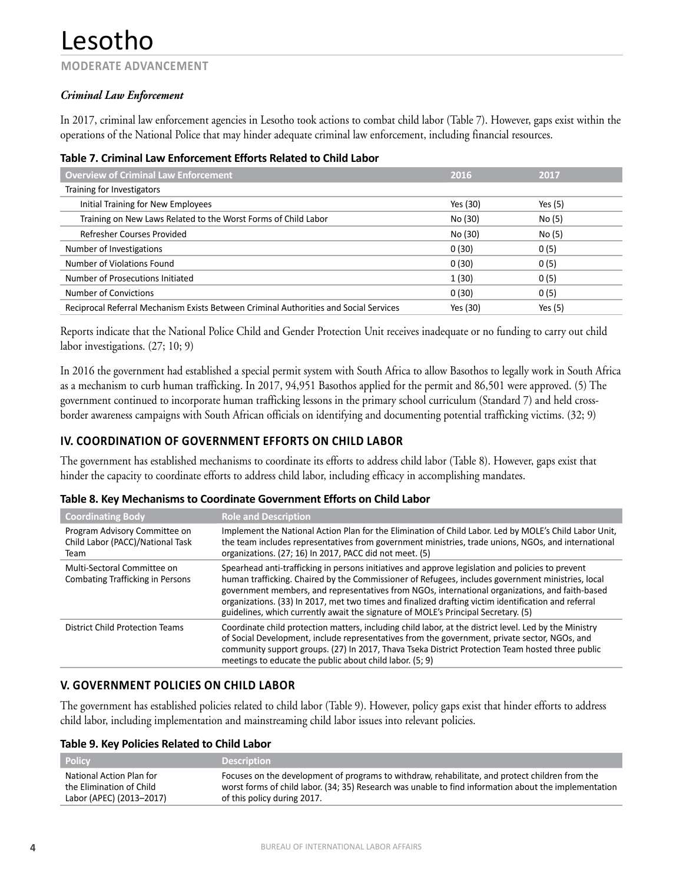**MODERATE ADVANCEMENT**

## *Criminal Law Enforcement*

In 2017, criminal law enforcement agencies in Lesotho took actions to combat child labor (Table 7). However, gaps exist within the operations of the National Police that may hinder adequate criminal law enforcement, including financial resources.

|  |  |  | Table 7. Criminal Law Enforcement Efforts Related to Child Labor |
|--|--|--|------------------------------------------------------------------|
|--|--|--|------------------------------------------------------------------|

| <b>Overview of Criminal Law Enforcement</b>                                           | 2016     | 2017      |  |
|---------------------------------------------------------------------------------------|----------|-----------|--|
| Training for Investigators                                                            |          |           |  |
| Initial Training for New Employees                                                    | Yes (30) | Yes $(5)$ |  |
| Training on New Laws Related to the Worst Forms of Child Labor                        | No (30)  | No (5)    |  |
| Refresher Courses Provided                                                            | No (30)  | No (5)    |  |
| Number of Investigations                                                              | 0(30)    | 0(5)      |  |
| Number of Violations Found                                                            | 0(30)    | 0(5)      |  |
| Number of Prosecutions Initiated                                                      | 1(30)    | 0(5)      |  |
| <b>Number of Convictions</b>                                                          | 0(30)    | 0(5)      |  |
| Reciprocal Referral Mechanism Exists Between Criminal Authorities and Social Services | Yes (30) | Yes $(5)$ |  |

Reports indicate that the National Police Child and Gender Protection Unit receives inadequate or no funding to carry out child labor investigations. (27; 10; 9)

In 2016 the government had established a special permit system with South Africa to allow Basothos to legally work in South Africa as a mechanism to curb human trafficking. In 2017, 94,951 Basothos applied for the permit and 86,501 were approved. (5) The government continued to incorporate human trafficking lessons in the primary school curriculum (Standard 7) and held crossborder awareness campaigns with South African officials on identifying and documenting potential trafficking victims. (32; 9)

## **IV. COORDINATION OF GOVERNMENT EFFORTS ON CHILD LABOR**

The government has established mechanisms to coordinate its efforts to address child labor (Table 8). However, gaps exist that hinder the capacity to coordinate efforts to address child labor, including efficacy in accomplishing mandates.

| Table 8. Key Mechanisms to Coordinate Government Efforts on Child Labor |  |
|-------------------------------------------------------------------------|--|
|-------------------------------------------------------------------------|--|

| <b>Coordinating Body</b>                                                  | <b>Role and Description</b>                                                                                                                                                                                                                                                                                                                                                                                                                                                                             |
|---------------------------------------------------------------------------|---------------------------------------------------------------------------------------------------------------------------------------------------------------------------------------------------------------------------------------------------------------------------------------------------------------------------------------------------------------------------------------------------------------------------------------------------------------------------------------------------------|
| Program Advisory Committee on<br>Child Labor (PACC)/National Task<br>Team | Implement the National Action Plan for the Elimination of Child Labor. Led by MOLE's Child Labor Unit,<br>the team includes representatives from government ministries, trade unions, NGOs, and international<br>organizations. (27; 16) In 2017, PACC did not meet. (5)                                                                                                                                                                                                                                |
| Multi-Sectoral Committee on<br><b>Combating Trafficking in Persons</b>    | Spearhead anti-trafficking in persons initiatives and approve legislation and policies to prevent<br>human trafficking. Chaired by the Commissioner of Refugees, includes government ministries, local<br>government members, and representatives from NGOs, international organizations, and faith-based<br>organizations. (33) In 2017, met two times and finalized drafting victim identification and referral<br>guidelines, which currently await the signature of MOLE's Principal Secretary. (5) |
| District Child Protection Teams                                           | Coordinate child protection matters, including child labor, at the district level. Led by the Ministry<br>of Social Development, include representatives from the government, private sector, NGOs, and<br>community support groups. (27) In 2017, Thava Tseka District Protection Team hosted three public<br>meetings to educate the public about child labor. (5; 9)                                                                                                                                 |

## **V. GOVERNMENT POLICIES ON CHILD LABOR**

The government has established policies related to child labor (Table 9). However, policy gaps exist that hinder efforts to address child labor, including implementation and mainstreaming child labor issues into relevant policies.

#### **Table 9. Key Policies Related to Child Labor**

| <b>Policy</b>            | <b>Description</b>                                                                                    |
|--------------------------|-------------------------------------------------------------------------------------------------------|
| National Action Plan for | Focuses on the development of programs to withdraw, rehabilitate, and protect children from the       |
| the Elimination of Child | worst forms of child labor. (34; 35) Research was unable to find information about the implementation |
| Labor (APEC) (2013-2017) | of this policy during 2017.                                                                           |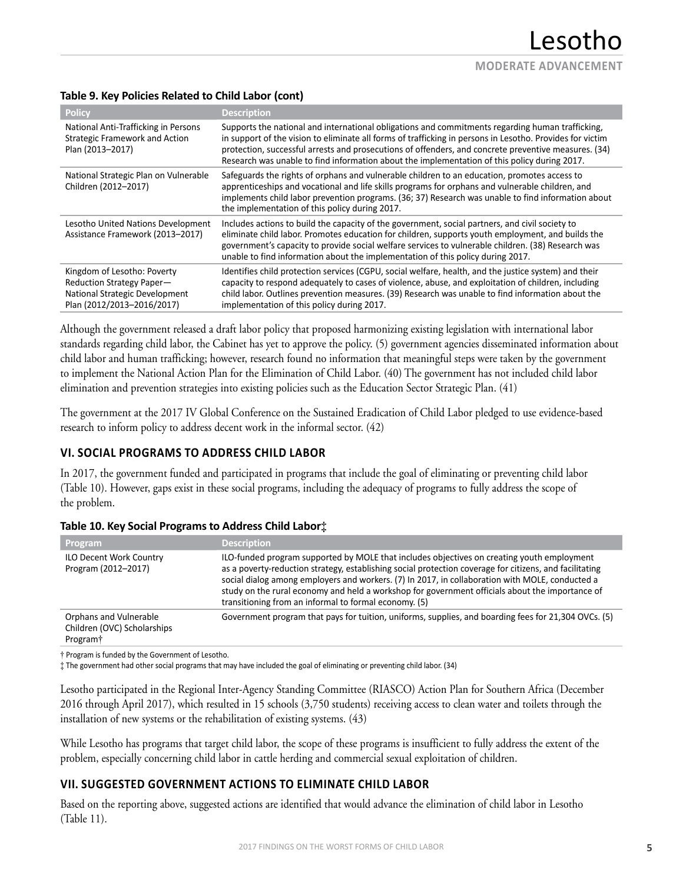## **Table 9. Key Policies Related to Child Labor (cont)**

| <b>Policy</b>                                                                                                            | <b>Description</b>                                                                                                                                                                                                                                                                                                                                                                                                    |
|--------------------------------------------------------------------------------------------------------------------------|-----------------------------------------------------------------------------------------------------------------------------------------------------------------------------------------------------------------------------------------------------------------------------------------------------------------------------------------------------------------------------------------------------------------------|
| National Anti-Trafficking in Persons<br>Strategic Framework and Action<br>Plan (2013-2017)                               | Supports the national and international obligations and commitments regarding human trafficking,<br>in support of the vision to eliminate all forms of trafficking in persons in Lesotho. Provides for victim<br>protection, successful arrests and prosecutions of offenders, and concrete preventive measures. (34)<br>Research was unable to find information about the implementation of this policy during 2017. |
| National Strategic Plan on Vulnerable<br>Children (2012-2017)                                                            | Safeguards the rights of orphans and vulnerable children to an education, promotes access to<br>apprenticeships and vocational and life skills programs for orphans and vulnerable children, and<br>implements child labor prevention programs. (36; 37) Research was unable to find information about<br>the implementation of this policy during 2017.                                                              |
| Lesotho United Nations Development<br>Assistance Framework (2013-2017)                                                   | Includes actions to build the capacity of the government, social partners, and civil society to<br>eliminate child labor. Promotes education for children, supports youth employment, and builds the<br>government's capacity to provide social welfare services to vulnerable children. (38) Research was<br>unable to find information about the implementation of this policy during 2017.                         |
| Kingdom of Lesotho: Poverty<br>Reduction Strategy Paper-<br>National Strategic Development<br>Plan (2012/2013-2016/2017) | Identifies child protection services (CGPU, social welfare, health, and the justice system) and their<br>capacity to respond adequately to cases of violence, abuse, and exploitation of children, including<br>child labor. Outlines prevention measures. (39) Research was unable to find information about the<br>implementation of this policy during 2017.                                                       |

Although the government released a draft labor policy that proposed harmonizing existing legislation with international labor standards regarding child labor, the Cabinet has yet to approve the policy. (5) government agencies disseminated information about child labor and human trafficking; however, research found no information that meaningful steps were taken by the government to implement the National Action Plan for the Elimination of Child Labor. (40) The government has not included child labor elimination and prevention strategies into existing policies such as the Education Sector Strategic Plan. (41)

The government at the 2017 IV Global Conference on the Sustained Eradication of Child Labor pledged to use evidence-based research to inform policy to address decent work in the informal sector. (42)

## **VI. SOCIAL PROGRAMS TO ADDRESS CHILD LABOR**

In 2017, the government funded and participated in programs that include the goal of eliminating or preventing child labor (Table 10). However, gaps exist in these social programs, including the adequacy of programs to fully address the scope of the problem.

| Program                                                                       | <b>Description</b>                                                                                                                                                                                                                                                                                                                                                                                                                                                   |
|-------------------------------------------------------------------------------|----------------------------------------------------------------------------------------------------------------------------------------------------------------------------------------------------------------------------------------------------------------------------------------------------------------------------------------------------------------------------------------------------------------------------------------------------------------------|
| <b>ILO Decent Work Country</b><br>Program (2012-2017)                         | ILO-funded program supported by MOLE that includes objectives on creating youth employment<br>as a poverty-reduction strategy, establishing social protection coverage for citizens, and facilitating<br>social dialog among employers and workers. (7) In 2017, in collaboration with MOLE, conducted a<br>study on the rural economy and held a workshop for government officials about the importance of<br>transitioning from an informal to formal economy. (5) |
| Orphans and Vulnerable<br>Children (OVC) Scholarships<br>Program <sup>+</sup> | Government program that pays for tuition, uniforms, supplies, and boarding fees for 21,304 OVCs. (5)                                                                                                                                                                                                                                                                                                                                                                 |

#### **Table 10. Key Social Programs to Address Child Labor‡**

† Program is funded by the Government of Lesotho.

‡ The government had other social programs that may have included the goal of eliminating or preventing child labor. (34)

Lesotho participated in the Regional Inter-Agency Standing Committee (RIASCO) Action Plan for Southern Africa (December 2016 through April 2017), which resulted in 15 schools (3,750 students) receiving access to clean water and toilets through the installation of new systems or the rehabilitation of existing systems. (43)

While Lesotho has programs that target child labor, the scope of these programs is insufficient to fully address the extent of the problem, especially concerning child labor in cattle herding and commercial sexual exploitation of children.

## **VII. SUGGESTED GOVERNMENT ACTIONS TO ELIMINATE CHILD LABOR**

Based on the reporting above, suggested actions are identified that would advance the elimination of child labor in Lesotho (Table 11).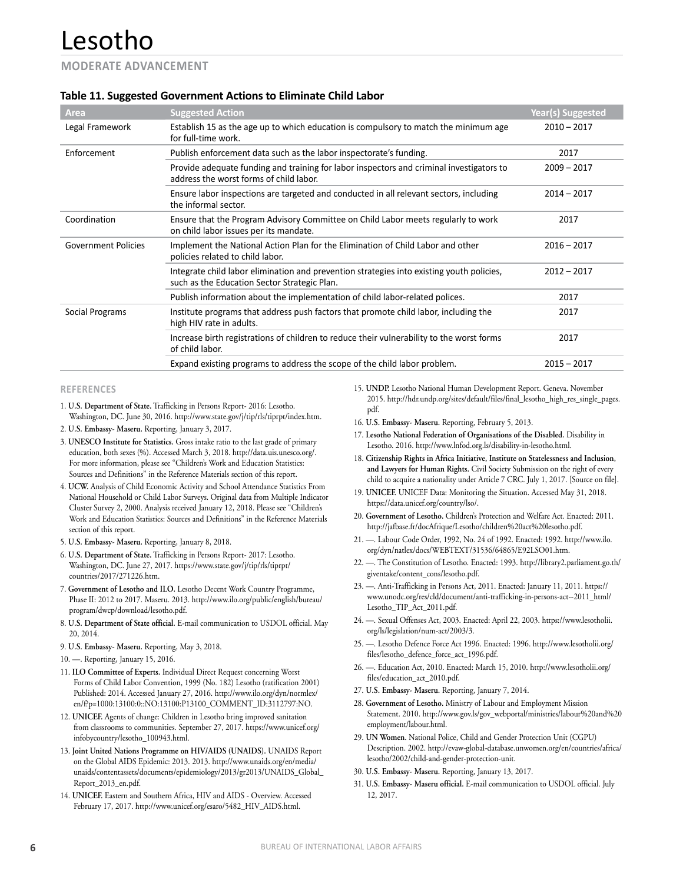#### **MODERATE ADVANCEMENT**

#### **Table 11. Suggested Government Actions to Eliminate Child Labor**

| Area                       | <b>Suggested Action</b>                                                                                                                   | Year(s) Suggested |
|----------------------------|-------------------------------------------------------------------------------------------------------------------------------------------|-------------------|
| Legal Framework            | Establish 15 as the age up to which education is compulsory to match the minimum age<br>for full-time work.                               | $2010 - 2017$     |
| Enforcement                | Publish enforcement data such as the labor inspectorate's funding.                                                                        | 2017              |
|                            | Provide adequate funding and training for labor inspectors and criminal investigators to<br>address the worst forms of child labor.       | $2009 - 2017$     |
|                            | Ensure labor inspections are targeted and conducted in all relevant sectors, including<br>the informal sector.                            | $2014 - 2017$     |
| Coordination               | Ensure that the Program Advisory Committee on Child Labor meets regularly to work<br>on child labor issues per its mandate.               | 2017              |
| <b>Government Policies</b> | Implement the National Action Plan for the Elimination of Child Labor and other<br>policies related to child labor.                       | $2016 - 2017$     |
|                            | Integrate child labor elimination and prevention strategies into existing youth policies,<br>such as the Education Sector Strategic Plan. | $2012 - 2017$     |
|                            | Publish information about the implementation of child labor-related polices.                                                              | 2017              |
| Social Programs            | Institute programs that address push factors that promote child labor, including the<br>high HIV rate in adults.                          | 2017              |
|                            | Increase birth registrations of children to reduce their vulnerability to the worst forms<br>of child labor.                              | 2017              |
|                            | Expand existing programs to address the scope of the child labor problem.                                                                 | $2015 - 2017$     |

#### **REFERENCES**

- 1. **U.S. Department of State.** Trafficking in Persons Report- 2016: Lesotho. Washington, DC. June 30, 2016. http://www.state.gov/j/tip/rls/tiprpt/index.htm.
- 2. **U.S. Embassy- Maseru.** Reporting, January 3, 2017.
- 3. **UNESCO Institute for Statistics.** Gross intake ratio to the last grade of primary education, both sexes (%). Accessed March 3, 2018. http://data.uis.unesco.org/. For more information, please see "Children's Work and Education Statistics: Sources and Definitions" in the Reference Materials section of this report.
- 4. **UCW.** Analysis of Child Economic Activity and School Attendance Statistics From National Household or Child Labor Surveys. Original data from Multiple Indicator Cluster Survey 2, 2000. Analysis received January 12, 2018. Please see "Children's Work and Education Statistics: Sources and Definitions" in the Reference Materials section of this report.
- 5. **U.S. Embassy- Maseru.** Reporting, January 8, 2018.
- 6. **U.S. Department of State.** Trafficking in Persons Report- 2017: Lesotho. Washington, DC. June 27, 2017. https://www.state.gov/j/tip/rls/tiprpt/ countries/2017/271226.htm.
- 7. **Government of Lesotho and ILO.** Lesotho Decent Work Country Programme, Phase II: 2012 to 2017. Maseru. 2013. http://www.ilo.org/public/english/bureau/ program/dwcp/download/lesotho.pdf.
- 8. **U.S. Department of State official.** E-mail communication to USDOL official. May 20, 2014.
- 9. **U.S. Embassy- Maseru.** Reporting, May 3, 2018.
- 10. —. Reporting, January 15, 2016.
- 11. **ILO Committee of Experts.** Individual Direct Request concerning Worst Forms of Child Labor Convention, 1999 (No. 182) Lesotho (ratification 2001) Published: 2014. Accessed January 27, 2016. http://www.ilo.org/dyn/normlex/ en/f?p=1000:13100:0::NO:13100:P13100\_COMMENT\_ID:3112797:NO.
- 12. **UNICEF.** Agents of change: Children in Lesotho bring improved sanitation from classrooms to communities. September 27, 2017. https://www.unicef.org/ infobycountry/lesotho\_100943.html.
- 13. **Joint United Nations Programme on HIV/AIDS (UNAIDS).** UNAIDS Report on the Global AIDS Epidemic: 2013. 2013. http://www.unaids.org/en/media/ unaids/contentassets/documents/epidemiology/2013/gr2013/UNAIDS\_Global\_ Report\_2013\_en.pdf.
- 14. **UNICEF.** Eastern and Southern Africa, HIV and AIDS Overview. Accessed February 17, 2017. http://www.unicef.org/esaro/5482\_HIV\_AIDS.html.
- 15. **UNDP.** Lesotho National Human Development Report. Geneva. November 2015. http://hdr.undp.org/sites/default/files/final\_lesotho\_high\_res\_single\_pages. pdf.
- 16. **U.S. Embassy- Maseru.** Reporting, February 5, 2013.
- 17. **Lesotho National Federation of Organisations of the Disabled.** Disability in Lesotho. 2016. http://www.lnfod.org.ls/disability-in-lesotho.html.
- 18. **Citizenship Rights in Africa Initiative, Institute on Statelessness and Inclusion, and Lawyers for Human Rights.** Civil Society Submission on the right of every child to acquire a nationality under Article 7 CRC. July 1, 2017. [Source on file].
- 19. **UNICEF.** UNICEF Data: Monitoring the Situation. Accessed May 31, 2018. https://data.unicef.org/country/lso/.
- 20. **Government of Lesotho.** Children's Protection and Welfare Act. Enacted: 2011. http://jafbase.fr/docAfrique/Lesotho/children%20act%20lesotho.pdf.
- 21. —. Labour Code Order, 1992, No. 24 of 1992. Enacted: 1992. http://www.ilo. org/dyn/natlex/docs/WEBTEXT/31536/64865/E92LSO01.htm.
- 22. —. The Constitution of Lesotho. Enacted: 1993. http://library2.parliament.go.th/ giventake/content\_cons/lesotho.pdf.
- 23. —. Anti-Trafficking in Persons Act, 2011. Enacted: January 11, 2011. https:// www.unodc.org/res/cld/document/anti-trafficking-in-persons-act--2011\_html/ Lesotho\_TIP\_Act\_2011.pdf.
- 24. —. Sexual Offenses Act, 2003. Enacted: April 22, 2003. https://www.lesotholii. org/ls/legislation/num-act/2003/3.
- 25. —. Lesotho Defence Force Act 1996. Enacted: 1996. http://www.lesotholii.org/ files/lesotho\_defence\_force\_act\_1996.pdf.
- 26. —. Education Act, 2010. Enacted: March 15, 2010. http://www.lesotholii.org/ files/education\_act\_2010.pdf.
- 27. **U.S. Embassy- Maseru.** Reporting, January 7, 2014.
- 28. **Government of Lesotho.** Ministry of Labour and Employment Mission Statement. 2010. http://www.gov.ls/gov\_webportal/ministries/labour%20and%20 employment/labour.html.
- 29. **UN Women.** National Police, Child and Gender Protection Unit (CGPU) Description. 2002. http://evaw-global-database.unwomen.org/en/countries/africa/ lesotho/2002/child-and-gender-protection-unit.
- 30. **U.S. Embassy- Maseru.** Reporting, January 13, 2017.
- 31. **U.S. Embassy- Maseru official.** E-mail communication to USDOL official. July 12, 2017.